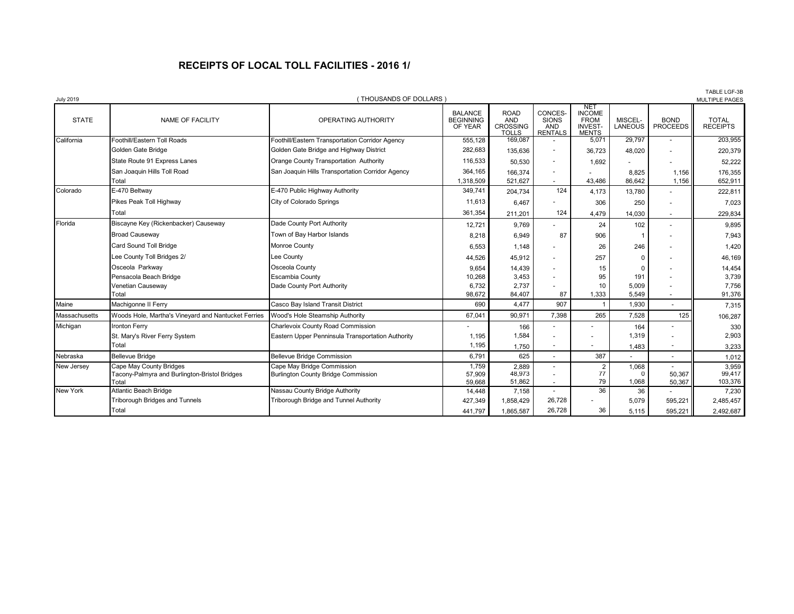## **RECEIPTS OF LOCAL TOLL FACILITIES - 2016 1/**

| <b>July 2019</b> |                                                                                   | (THOUSANDS OF DOLLARS                                                                  |                                               |                                                              |                                                  |                                                                                   |                                   |                                | IABLE LGF-3B<br><b>MULTIPLE PAGES</b> |
|------------------|-----------------------------------------------------------------------------------|----------------------------------------------------------------------------------------|-----------------------------------------------|--------------------------------------------------------------|--------------------------------------------------|-----------------------------------------------------------------------------------|-----------------------------------|--------------------------------|---------------------------------------|
| <b>STATE</b>     | <b>NAME OF FACILITY</b>                                                           | OPERATING AUTHORITY                                                                    | <b>BALANCE</b><br><b>BEGINNING</b><br>OF YEAR | <b>ROAD</b><br><b>AND</b><br><b>CROSSING</b><br><b>TOLLS</b> | CONCES-<br><b>SIONS</b><br>AND<br><b>RENTALS</b> | NE <sub>1</sub><br><b>INCOME</b><br><b>FROM</b><br><b>INVEST-</b><br><b>MENTS</b> | MISCEL-<br><b>LANEOUS</b>         | <b>BOND</b><br><b>PROCEEDS</b> | <b>TOTAL</b><br><b>RECEIPTS</b>       |
| California       | Foothill/Eastern Toll Roads                                                       | Foothill/Eastern Transportation Corridor Agency                                        | 555,128                                       | 169,087                                                      |                                                  | 5,071                                                                             | 29,797                            |                                | 203,955                               |
|                  | Golden Gate Bridge                                                                | Golden Gate Bridge and Highway District                                                | 282,683                                       | 135,636                                                      | $\overline{\phantom{a}}$                         | 36.723                                                                            | 48.020                            |                                | 220,379                               |
|                  | State Route 91 Express Lanes                                                      | Orange County Transportation Authority                                                 | 116,533                                       | 50,530                                                       |                                                  | 1,692                                                                             |                                   |                                | 52,222                                |
|                  | San Joaquin Hills Toll Road<br>Total                                              | San Joaquin Hills Transportation Corridor Agency                                       | 364,165<br>1,318,509                          | 166,374<br>521.627                                           |                                                  | 43,486                                                                            | 8,825<br>86.642                   | 1,156<br>1.156                 | 176,355<br>652,911                    |
| Colorado         | E-470 Beltway                                                                     | E-470 Public Highway Authority                                                         | 349,741                                       | 204,734                                                      | 124                                              | 4,173                                                                             | 13,780                            |                                | 222,811                               |
|                  | Pikes Peak Toll Highway                                                           | City of Colorado Springs                                                               | 11.613                                        | 6,467                                                        |                                                  | 306                                                                               | 250                               |                                | 7,023                                 |
|                  | Total                                                                             |                                                                                        | 361,354                                       | 211,201                                                      | 124                                              | 4,479                                                                             | 14,030                            |                                | 229,834                               |
| Florida          | Biscayne Key (Rickenbacker) Causeway                                              | Dade County Port Authority                                                             | 12,721                                        | 9,769                                                        |                                                  | 24                                                                                | 102                               |                                | 9,895                                 |
|                  | <b>Broad Causeway</b>                                                             | Town of Bay Harbor Islands                                                             | 8,218                                         | 6,949                                                        | 87                                               | 906                                                                               |                                   |                                | 7,943                                 |
|                  | Card Sound Toll Bridge                                                            | Monroe County                                                                          | 6,553                                         | 1,148                                                        |                                                  | 26                                                                                | 246                               |                                | 1,420                                 |
|                  | Lee County Toll Bridges 2/                                                        | Lee County                                                                             | 44,526                                        | 45,912                                                       |                                                  | 257                                                                               | $\Omega$                          |                                | 46,169                                |
|                  | Osceola Parkway<br>Pensacola Beach Bridge<br>Venetian Causeway<br>Total           | Osceola County<br><b>Escambia County</b><br>Dade County Port Authority                 | 9,654<br>10,268<br>6,732<br>98,672            | 14,439<br>3,453<br>2,737<br>84,407                           | 87                                               | 15<br>95<br>10<br>1,333                                                           | $\Omega$<br>191<br>5,009<br>5,549 |                                | 14,454<br>3,739<br>7,756<br>91,376    |
| Maine            | Machigonne II Ferry                                                               | Casco Bay Island Transit District                                                      | 690                                           | 4.477                                                        | 907                                              |                                                                                   | 1,930                             |                                | 7,315                                 |
| Massachusetts    | Woods Hole, Martha's Vineyard and Nantucket Ferries                               | Wood's Hole Steamship Authority                                                        | 67,04'                                        | 90,971                                                       | 7,398                                            | 265                                                                               | 7,528                             | 125                            | 106,287                               |
| Michigan         | <b>Ironton Ferry</b><br>St. Mary's River Ferry System<br>Total                    | Charlevoix County Road Commission<br>Eastern Upper Penninsula Transportation Authority | 1.195<br>1,195                                | 166<br>1,584<br>1,750                                        |                                                  |                                                                                   | 164<br>1,319<br>1,483             |                                | 330<br>2,903<br>3,233                 |
| Nebraska         | <b>Bellevue Bridge</b>                                                            | <b>Bellevue Bridge Commission</b>                                                      | 6.791                                         | 625                                                          | $\overline{a}$                                   | 387                                                                               |                                   |                                | 1,012                                 |
| New Jersey       | Cape May County Bridges<br>Tacony-Palmyra and Burlington-Bristol Bridges<br>Total | Cape May Bridge Commission<br>Burlington County Bridge Commission                      | 1,759<br>57,909<br>59.668                     | 2.889<br>48,973<br>51,862                                    |                                                  | 2<br>77<br>79                                                                     | 1,068<br>$\Omega$<br>1,068        | 50,367<br>50,367               | 3,959<br>99,417<br>103,376            |
| New York         | <b>Atlantic Beach Bridge</b>                                                      | Nassau County Bridge Authority                                                         | 14,448                                        | 7,158                                                        |                                                  | 36                                                                                | 36                                |                                | 7,230                                 |
|                  | Triborough Bridges and Tunnels<br>Total                                           | Triborough Bridge and Tunnel Authority                                                 | 427,349                                       | 1,858,429                                                    | 26,728<br>26,728                                 | 36                                                                                | 5,079                             | 595,221                        | 2,485,457                             |
|                  |                                                                                   |                                                                                        | 441.797                                       | 1,865,587                                                    |                                                  |                                                                                   | 5.115                             | 595,221                        | 2,492,687                             |

TABLE LGF-3B